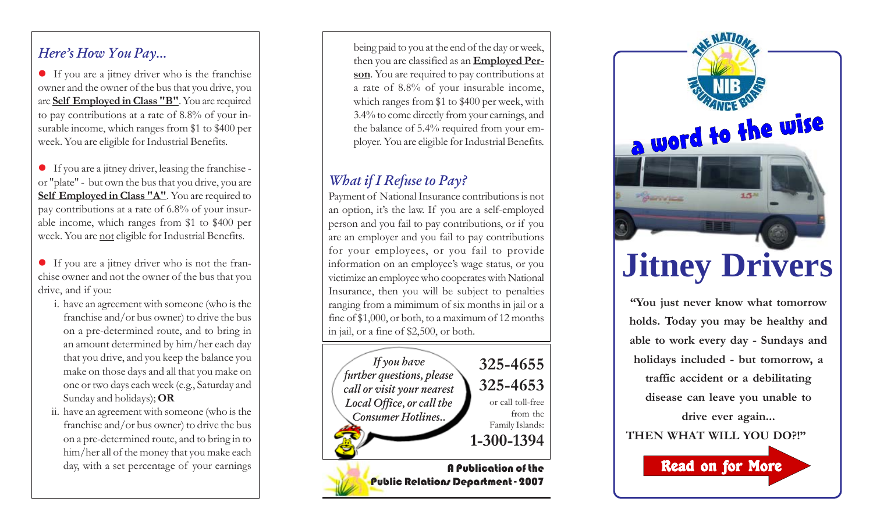### *Here's How You Pay...*

• If you are a jitney driver who is the franchise owner and the owner of the bus that you drive, you are **Self Employed in Class "B"**. You are required to pay contributions at a rate of 8.8% of your insurable income, which ranges from \$1 to \$400 per week. You are eligible for Industrial Benefits.

- $\bullet$  If you are a jitney driver, leasing the franchise or "plate" - but own the bus that you drive, you are Self Employed in Class "A". You are required to pay contributions at a rate of 6.8% of your insurable income, which ranges from \$1 to \$400 per week. You are not eligible for Industrial Benefits.
- z If you are a jitney driver who is not the franchise owner and not the owner of the bus that you drive, and if you:
	- i. have an agreement with someone (who is the franchise and/or bus owner) to drive the bus on a pre-determined route, and to bring in an amount determined by him/her each day that you drive, and you keep the balance you make on those days and all that you make on one or two days each week (e.g., Saturday and Sunday and holidays); **OR**
	- ii. have an agreement with someone (who is the franchise and/or bus owner) to drive the bus on a pre-determined route, and to bring in to him/her all of the money that you make each day, with a set percentage of your earnings

being paid to you at the end of the day or week, then you are classified as an **Employed Person**. You are required to pay contributions at a rate of 8.8% of your insurable income, which ranges from \$1 to \$400 per week, with 3.4% to come directly from your earnings, and the balance of 5.4% required from your employer. You are eligible for Industrial Benefits.

## *What if I Refuse to Pay?*

Payment of National Insurance contributions is not an option, it's the law. If you are a self-employed person and you fail to pay contributions, or if you are an employer and you fail to pay contributions for your employees, or you fail to provide information on an employee's wage status, or you victimize an employee who cooperates with National Insurance, then you will be subject to penalties ranging from a mimimum of six months in jail or a fine of \$1,000, or both, to a maximum of 12 months in jail, or a fine of \$2,500, or both.





**"You just never know what tomorrow holds. Today you may be healthy and able to work every day - Sundays and holidays included - but tomorrow, a traffic accident or a debilitating disease can leave you unable to drive ever again...**

**THEN WHAT WILL YOU DO?!"**

Read on for More